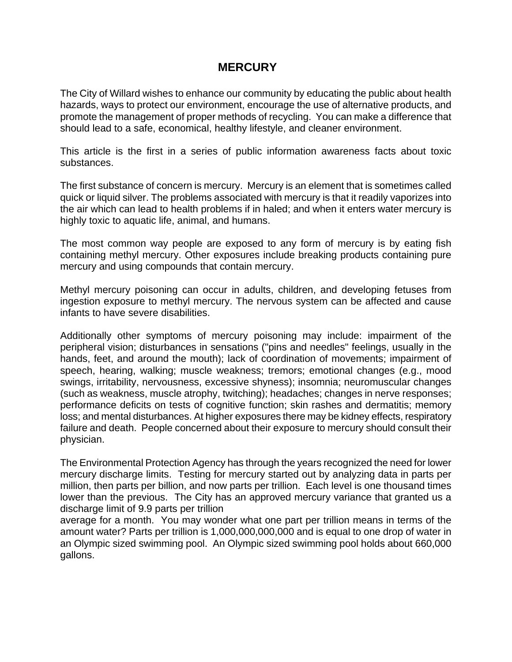## **MERCURY**

The City of Willard wishes to enhance our community by educating the public about health hazards, ways to protect our environment, encourage the use of alternative products, and promote the management of proper methods of recycling. You can make a difference that should lead to a safe, economical, healthy lifestyle, and cleaner environment.

This article is the first in a series of public information awareness facts about toxic substances.

The first substance of concern is mercury. Mercury is an element that is sometimes called quick or liquid silver. The problems associated with mercury is that it readily vaporizes into the air which can lead to health problems if in haled; and when it enters water mercury is highly toxic to aquatic life, animal, and humans.

The most common way people are exposed to any form of mercury is by eating fish containing methyl mercury. Other exposures include breaking products containing pure mercury and using compounds that contain mercury.

Methyl mercury poisoning can occur in adults, children, and developing fetuses from ingestion exposure to methyl mercury. The nervous system can be affected and cause infants to have severe disabilities.

Additionally other symptoms of mercury poisoning may include: impairment of the peripheral vision; disturbances in sensations ("pins and needles" feelings, usually in the hands, feet, and around the mouth); lack of coordination of movements; impairment of speech, hearing, walking; muscle weakness; tremors; emotional changes (e.g., mood swings, irritability, nervousness, excessive shyness); insomnia; neuromuscular changes (such as weakness, muscle atrophy, twitching); headaches; changes in nerve responses; performance deficits on tests of cognitive function; skin rashes and dermatitis; memory loss; and mental disturbances. At higher exposures there may be kidney effects, respiratory failure and death. People concerned about their exposure to mercury should consult their physician.

The Environmental Protection Agency has through the years recognized the need for lower mercury discharge limits. Testing for mercury started out by analyzing data in parts per million, then parts per billion, and now parts per trillion. Each level is one thousand times lower than the previous. The City has an approved mercury variance that granted us a discharge limit of 9.9 parts per trillion

average for a month. You may wonder what one part per trillion means in terms of the amount water? Parts per trillion is 1,000,000,000,000 and is equal to one drop of water in an Olympic sized swimming pool. An Olympic sized swimming pool holds about 660,000 gallons.